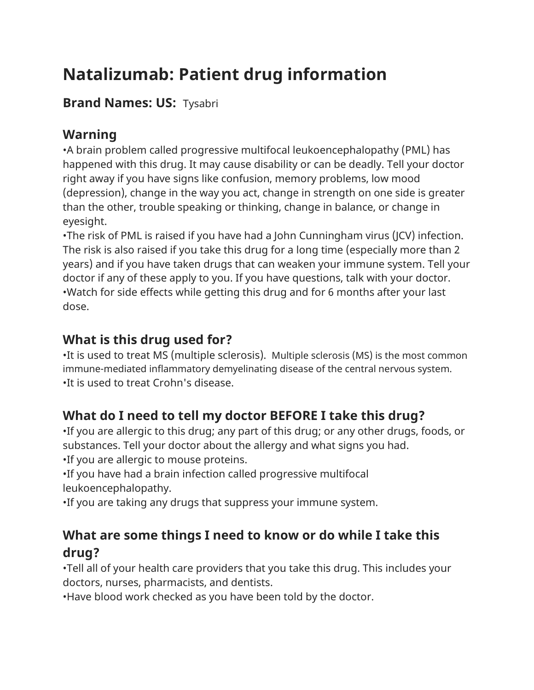# **Natalizumab: Patient drug information**

### **Brand Names: US:** Tysabri

### **Warning**

•A brain problem called progressive multifocal leukoencephalopathy (PML) has happened with this drug. It may cause disability or can be deadly. Tell your doctor right away if you have signs like confusion, memory problems, low mood (depression), change in the way you act, change in strength on one side is greater than the other, trouble speaking or thinking, change in balance, or change in eyesight.

•The risk of PML is raised if you have had a John Cunningham virus (JCV) infection. The risk is also raised if you take this drug for a long time (especially more than 2 years) and if you have taken drugs that can weaken your immune system. Tell your doctor if any of these apply to you. If you have questions, talk with your doctor. •Watch for side effects while getting this drug and for 6 months after your last dose.

## **What is this drug used for?**

•It is used to treat MS (multiple sclerosis). Multiple sclerosis (MS) is the most common immune-mediated inflammatory demyelinating disease of the central nervous system. •It is used to treat Crohn's disease.

# **What do I need to tell my doctor BEFORE I take this drug?**

•If you are allergic to this drug; any part of this drug; or any other drugs, foods, or substances. Tell your doctor about the allergy and what signs you had.

•If you are allergic to mouse proteins.

•If you have had a brain infection called progressive multifocal leukoencephalopathy.

•If you are taking any drugs that suppress your immune system.

### **What are some things I need to know or do while I take this drug?**

•Tell all of your health care providers that you take this drug. This includes your doctors, nurses, pharmacists, and dentists.

•Have blood work checked as you have been told by the doctor.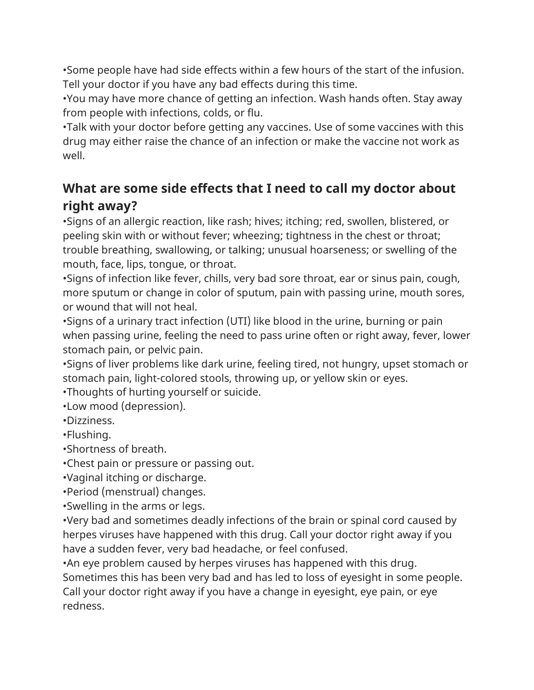•Some people have had side effects within a few hours of the start of the infusion. Tell your doctor if you have any bad effects during this time.

•You may have more chance of getting an infection. Wash hands often. Stay away from people with infections, colds, or flu.

•Talk with your doctor before getting any vaccines. Use of some vaccines with this drug may either raise the chance of an infection or make the vaccine not work as well.

### **What are some side effects that I need to call my doctor about right away?**

•Signs of an allergic reaction, like rash; hives; itching; red, swollen, blistered, or peeling skin with or without fever; wheezing; tightness in the chest or throat; trouble breathing, swallowing, or talking; unusual hoarseness; or swelling of the mouth, face, lips, tongue, or throat.

•Signs of infection like fever, chills, very bad sore throat, ear or sinus pain, cough, more sputum or change in color of sputum, pain with passing urine, mouth sores, or wound that will not heal.

•Signs of a urinary tract infection (UTI) like blood in the urine, burning or pain when passing urine, feeling the need to pass urine often or right away, fever, lower stomach pain, or pelvic pain.

•Signs of liver problems like dark urine, feeling tired, not hungry, upset stomach or stomach pain, light-colored stools, throwing up, or yellow skin or eyes.

•Thoughts of hurting yourself or suicide.

•Low mood (depression).

•Dizziness.

•Flushing.

•Shortness of breath.

•Chest pain or pressure or passing out.

•Vaginal itching or discharge.

•Period (menstrual) changes.

•Swelling in the arms or legs.

•Very bad and sometimes deadly infections of the brain or spinal cord caused by herpes viruses have happened with this drug. Call your doctor right away if you have a sudden fever, very bad headache, or feel confused.

•An eye problem caused by herpes viruses has happened with this drug. Sometimes this has been very bad and has led to loss of eyesight in some people. Call your doctor right away if you have a change in eyesight, eye pain, or eye redness.